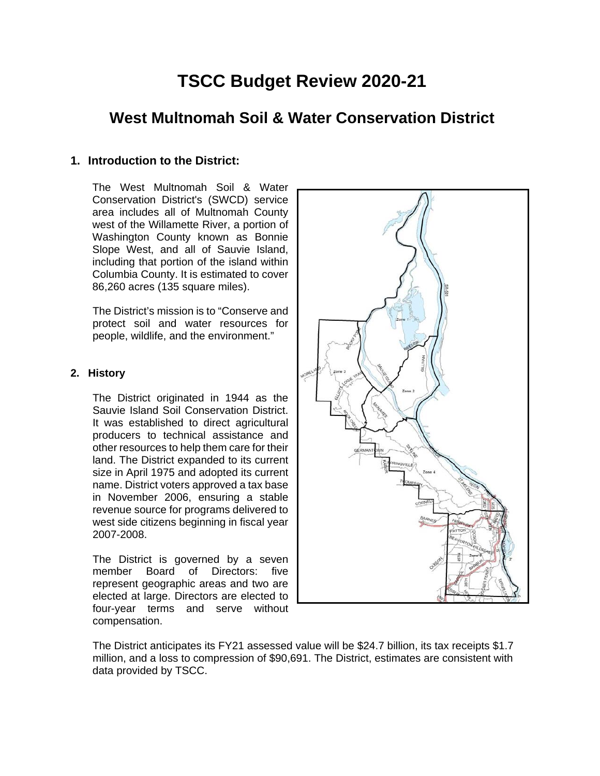# **TSCC Budget Review 2020-21**

## **West Multnomah Soil & Water Conservation District**

## **1. Introduction to the District:**

The West Multnomah Soil & Water Conservation District's (SWCD) service area includes all of Multnomah County west of the Willamette River, a portion of Washington County known as Bonnie Slope West, and all of Sauvie Island, including that portion of the island within Columbia County. It is estimated to cover 86,260 acres (135 square miles).

The District's mission is to "Conserve and protect soil and water resources for people, wildlife, and the environment."

#### **2. History**

The District originated in 1944 as the Sauvie Island Soil Conservation District. It was established to direct agricultural producers to technical assistance and other resources to help them care for their land. The District expanded to its current size in April 1975 and adopted its current name. District voters approved a tax base in November 2006, ensuring a stable revenue source for programs delivered to west side citizens beginning in fiscal year 2007-2008.

The District is governed by a seven member Board of Directors: five represent geographic areas and two are elected at large. Directors are elected to four-year terms and serve without compensation.



The District anticipates its FY21 assessed value will be \$24.7 billion, its tax receipts \$1.7 million, and a loss to compression of \$90,691. The District, estimates are consistent with data provided by TSCC.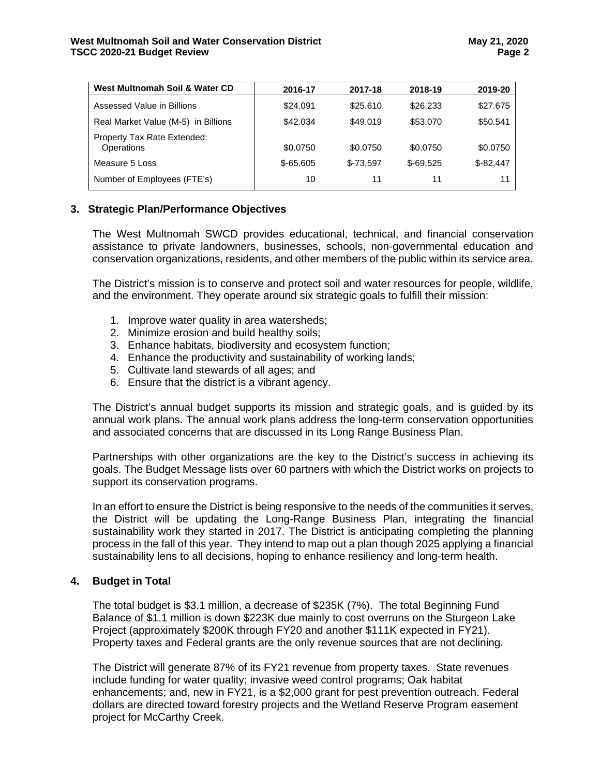| West Multnomah Soil & Water CD            | 2016-17    | 2017-18    | 2018-19    | 2019-20    |
|-------------------------------------------|------------|------------|------------|------------|
| Assessed Value in Billions                | \$24.091   | \$25.610   | \$26,233   | \$27.675   |
| Real Market Value (M-5) in Billions       | \$42,034   | \$49.019   | \$53,070   | \$50.541   |
| Property Tax Rate Extended:<br>Operations | \$0.0750   | \$0.0750   | \$0.0750   | \$0.0750   |
| Measure 5 Loss                            | $$-65,605$ | $$-73,597$ | $$-69.525$ | $$-82,447$ |
| Number of Employees (FTE's)               | 10         | 11         | 11         | 11         |

## **3. Strategic Plan/Performance Objectives**

The West Multnomah SWCD provides educational, technical, and financial conservation assistance to private landowners, businesses, schools, non-governmental education and conservation organizations, residents, and other members of the public within its service area.

The District's mission is to conserve and protect soil and water resources for people, wildlife, and the environment. They operate around six strategic goals to fulfill their mission:

- 1. Improve water quality in area watersheds;
- 2. Minimize erosion and build healthy soils;
- 3. Enhance habitats, biodiversity and ecosystem function;
- 4. Enhance the productivity and sustainability of working lands;
- 5. Cultivate land stewards of all ages; and
- 6. Ensure that the district is a vibrant agency.

The District's annual budget supports its mission and strategic goals, and is guided by its annual work plans. The annual work plans address the long-term conservation opportunities and associated concerns that are discussed in its Long Range Business Plan.

Partnerships with other organizations are the key to the District's success in achieving its goals. The Budget Message lists over 60 partners with which the District works on projects to support its conservation programs.

In an effort to ensure the District is being responsive to the needs of the communities it serves, the District will be updating the Long-Range Business Plan, integrating the financial sustainability work they started in 2017. The District is anticipating completing the planning process in the fall of this year. They intend to map out a plan though 2025 applying a financial sustainability lens to all decisions, hoping to enhance resiliency and long-term health.

## **4. Budget in Total**

The total budget is \$3.1 million, a decrease of \$235K (7%). The total Beginning Fund Balance of \$1.1 million is down \$223K due mainly to cost overruns on the Sturgeon Lake Project (approximately \$200K through FY20 and another \$111K expected in FY21). Property taxes and Federal grants are the only revenue sources that are not declining.

The District will generate 87% of its FY21 revenue from property taxes. State revenues include funding for water quality; invasive weed control programs; Oak habitat enhancements; and, new in FY21, is a \$2,000 grant for pest prevention outreach. Federal dollars are directed toward forestry projects and the Wetland Reserve Program easement project for McCarthy Creek.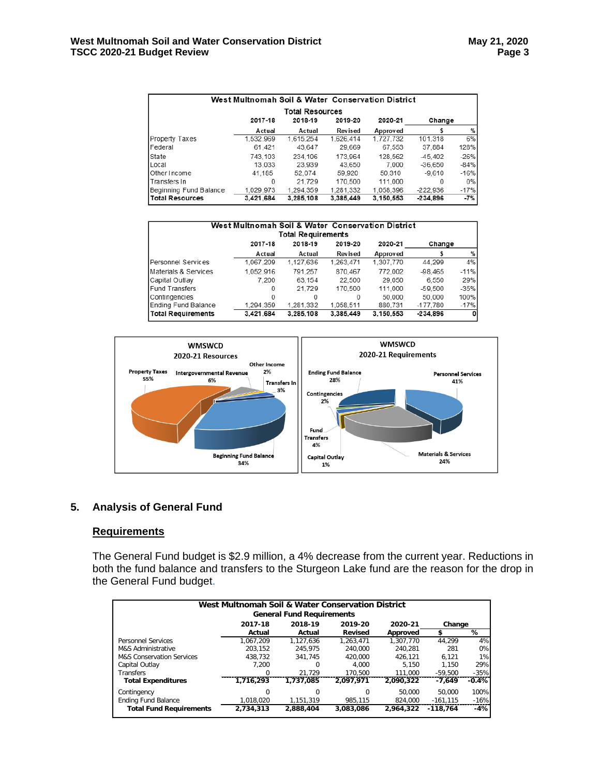| West Multnomah Soil & Water Conservation District |           |           |           |           |           |        |  |
|---------------------------------------------------|-----------|-----------|-----------|-----------|-----------|--------|--|
| <b>Total Resources</b>                            |           |           |           |           |           |        |  |
|                                                   | 2017-18   | 2018-19   | 2019-20   | 2020-21   | Change    |        |  |
|                                                   | Actual    | Actual    | Revised   | Approved  |           | %      |  |
| Property Taxes                                    | 1.532.969 | 1,615,254 | 1.626.414 | 1,727,732 | 101,318   | 6%     |  |
| Federal                                           | 61.421    | 43.647    | 29,669    | 67,553    | 37,884    | 128%   |  |
| State                                             | 743.103   | 234.106   | 173.964   | 128.562   | $-45.402$ | $-26%$ |  |
| Local                                             | 13.033    | 23,939    | 43.650    | 7.000     | $-36.650$ | $-84%$ |  |
| Other Income                                      | 41.185    | 52.074    | 59.920    | 50.310    | $-9.610$  | $-16%$ |  |
| Transfers In                                      | 0         | 21.729    | 170.500   | 111.000   | 0         | 0%     |  |
| Beginning Fund Balance                            | 1.029.973 | 1.294.359 | 1.281.332 | 1.058.396 | -222.936  | $-17%$ |  |
| Total Resources                                   | 3.421.684 | 3.285.108 | 3.385.449 | 3.150.553 | -234.896  | $-7%$  |  |

| West Multnomah Soil & Water Conservation District<br>Total Requirements |           |           |           |           |            |               |
|-------------------------------------------------------------------------|-----------|-----------|-----------|-----------|------------|---------------|
| 2017-18<br>2018-19<br>2019-20<br>2020-21                                |           |           |           |           |            | Change        |
|                                                                         | Actual    | Actual    | Revised   | Approved  |            | $\frac{9}{6}$ |
| Personnel Services                                                      | 1.067.209 | 1.127.636 | 1.263.471 | 1.307.770 | 44.299     | 4%            |
| Materials & Services                                                    | 1.052.916 | 791.257   | 870.467   | 772.002   | $-98.465$  | $-11%$        |
| Capital Outlay                                                          | 7.200     | 63.154    | 22.500    | 29.050    | 6.550      | 29%           |
| <b>Fund Transfers</b>                                                   | $\Omega$  | 21.729    | 170.500   | 111,000   | $-59.500$  | $-35%$        |
| Contingencies                                                           | $\Omega$  | 0         | 0         | 50.000    | 50.000     | 100%          |
| <b>Ending Fund Balance</b>                                              | 1.294.359 | 1,281,332 | 1.058.511 | 880.731   | $-177.780$ | $-17%$        |
| <b>Total Requirements</b>                                               | 3,421,684 | 3,285,108 | 3,385,449 | 3,150,553 | $-234,896$ | 0             |



## **5. Analysis of General Fund**

#### **Requirements**

The General Fund budget is \$2.9 million, a 4% decrease from the current year. Reductions in both the fund balance and transfers to the Sturgeon Lake fund are the reason for the drop in the General Fund budget.

| West Multnomah Soil & Water Conservation District<br><b>General Fund Requirements</b> |           |           |           |           |            |         |  |
|---------------------------------------------------------------------------------------|-----------|-----------|-----------|-----------|------------|---------|--|
|                                                                                       | 2017-18   | Change    |           |           |            |         |  |
|                                                                                       | Revised   | Approved  | \$        | %         |            |         |  |
| <b>Personnel Services</b>                                                             | 1.067.209 | 1.127.636 | 1.263.471 | 1.307.770 | 44.299     | 4%      |  |
| M&S Administrative                                                                    | 203.152   | 245.975   | 240.000   | 240.281   | 281        | 0%      |  |
| <b>M&amp;S Conservation Services</b>                                                  | 438.732   | 341.745   | 420.000   | 426.121   | 6.121      | 1%      |  |
| Capital Outlay                                                                        | 7.200     | $\Omega$  | 4.000     | 5.150     | 1.150      | 29%     |  |
| <b>Transfers</b>                                                                      | 0         | 21.729    | 170.500   | 111.000   | $-59.500$  | $-35%$  |  |
| <b>Total Expenditures</b>                                                             | 1,716,293 | 1.737.085 | 2,097,971 | 2.090.322 | $-7.649$   | $-0.4%$ |  |
| Contingency                                                                           | $\Omega$  | $\Omega$  | 0         | 50.000    | 50.000     | 100%    |  |
| <b>Ending Fund Balance</b>                                                            | 1.018.020 | 1.151.319 | 985.115   | 824.000   | $-161.115$ | $-16%$  |  |
| <b>Total Fund Requirements</b>                                                        | 2.734.313 | 2,888,404 | 3.083.086 | 2.964.322 | $-118.764$ | -4%     |  |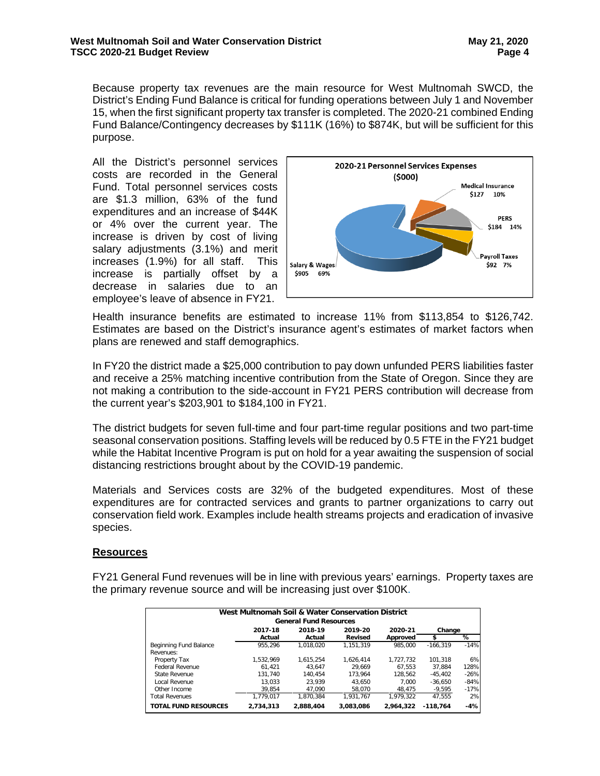Because property tax revenues are the main resource for West Multnomah SWCD, the District's Ending Fund Balance is critical for funding operations between July 1 and November 15, when the first significant property tax transfer is completed. The 2020-21 combined Ending Fund Balance/Contingency decreases by \$111K (16%) to \$874K, but will be sufficient for this purpose.

All the District's personnel services costs are recorded in the General Fund. Total personnel services costs are \$1.3 million, 63% of the fund expenditures and an increase of \$44K or 4% over the current year. The increase is driven by cost of living salary adjustments (3.1%) and merit increases (1.9%) for all staff. This increase is partially offset by a decrease in salaries due to an employee's leave of absence in FY21.



Health insurance benefits are estimated to increase 11% from \$113,854 to \$126,742. Estimates are based on the District's insurance agent's estimates of market factors when plans are renewed and staff demographics.

In FY20 the district made a \$25,000 contribution to pay down unfunded PERS liabilities faster and receive a 25% matching incentive contribution from the State of Oregon. Since they are not making a contribution to the side-account in FY21 PERS contribution will decrease from the current year's \$203,901 to \$184,100 in FY21.

The district budgets for seven full-time and four part-time regular positions and two part-time seasonal conservation positions. Staffing levels will be reduced by 0.5 FTE in the FY21 budget while the Habitat Incentive Program is put on hold for a year awaiting the suspension of social distancing restrictions brought about by the COVID-19 pandemic.

Materials and Services costs are 32% of the budgeted expenditures. Most of these expenditures are for contracted services and grants to partner organizations to carry out conservation field work. Examples include health streams projects and eradication of invasive species.

## **Resources**

FY21 General Fund revenues will be in line with previous years' earnings. Property taxes are the primary revenue source and will be increasing just over \$100K.

| West Multnomah Soil & Water Conservation District |                                          |           |           |           |            |        |  |
|---------------------------------------------------|------------------------------------------|-----------|-----------|-----------|------------|--------|--|
| <b>General Fund Resources</b>                     |                                          |           |           |           |            |        |  |
|                                                   | 2017-18<br>2019-20<br>2020-21<br>2018-19 |           |           |           |            | Change |  |
|                                                   | Actual                                   | Actual    | Revised   | Approved  | \$         | %      |  |
| Beginning Fund Balance                            | 955.296                                  | 1.018.020 | 1.151.319 | 985.000   | $-166.319$ | $-14%$ |  |
| Revenues:                                         |                                          |           |           |           |            |        |  |
| Property Tax                                      | 1.532.969                                | 1.615.254 | 1.626.414 | 1.727.732 | 101.318    | 6%     |  |
| Federal Revenue                                   | 61.421                                   | 43.647    | 29.669    | 67.553    | 37.884     | 128%   |  |
| State Revenue                                     | 131.740                                  | 140.454   | 173.964   | 128.562   | $-45.402$  | $-26%$ |  |
| Local Revenue                                     | 13.033                                   | 23.939    | 43.650    | 7.000     | $-36.650$  | $-84%$ |  |
| Other Income                                      | 39.854                                   | 47.090    | 58,070    | 48.475    | $-9.595$   | $-17%$ |  |
| <b>Total Revenues</b>                             | 1.779.017                                | 1.870.384 | 1.931.767 | 1.979.322 | 47.555     | 2%     |  |
| <b>TOTAL FUND RESOURCES</b>                       | 2.734.313                                | 2.888.404 | 3.083.086 | 2.964.322 | $-118.764$ | $-4%$  |  |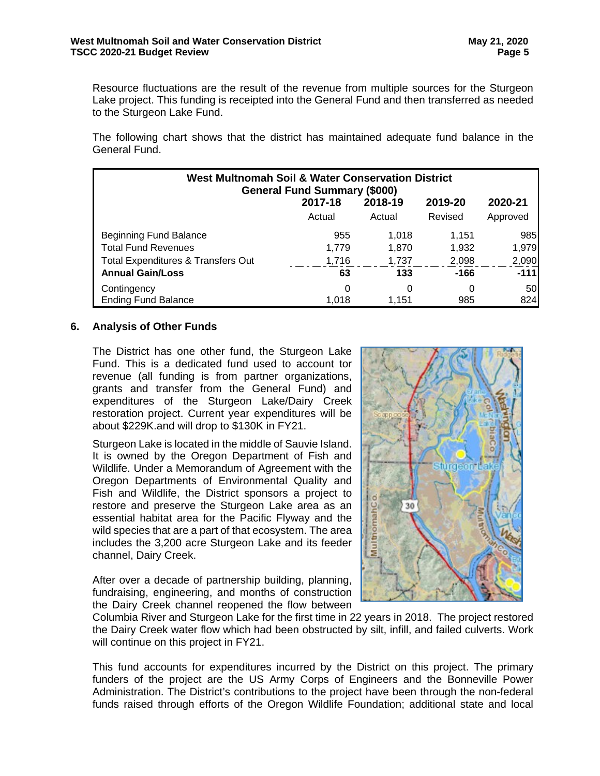Resource fluctuations are the result of the revenue from multiple sources for the Sturgeon Lake project. This funding is receipted into the General Fund and then transferred as needed to the Sturgeon Lake Fund.

The following chart shows that the district has maintained adequate fund balance in the General Fund.

| <b>West Multnomah Soil &amp; Water Conservation District</b><br><b>General Fund Summary (\$000)</b> |                                          |       |       |        |  |  |  |  |  |
|-----------------------------------------------------------------------------------------------------|------------------------------------------|-------|-------|--------|--|--|--|--|--|
|                                                                                                     | 2018-19<br>2017-18<br>2019-20<br>2020-21 |       |       |        |  |  |  |  |  |
| Revised<br>Approved<br>Actual<br>Actual                                                             |                                          |       |       |        |  |  |  |  |  |
| <b>Beginning Fund Balance</b>                                                                       | 955                                      | 1.018 | 1.151 | 985    |  |  |  |  |  |
| <b>Total Fund Revenues</b>                                                                          | 1.779                                    | 1.870 | 1,932 | 1,979  |  |  |  |  |  |
| <b>Total Expenditures &amp; Transfers Out</b>                                                       | 1,716                                    | 1,737 | 2,098 | 2,090  |  |  |  |  |  |
| <b>Annual Gain/Loss</b>                                                                             | 63                                       | 133   | -166  | $-111$ |  |  |  |  |  |
| Contingency                                                                                         | 0                                        | 0     | 0     | 50     |  |  |  |  |  |
| <b>Ending Fund Balance</b>                                                                          | 1.018                                    | 1.151 | 985   | 824    |  |  |  |  |  |

#### **6. Analysis of Other Funds**

The District has one other fund, the Sturgeon Lake Fund. This is a dedicated fund used to account tor revenue (all funding is from partner organizations, grants and transfer from the General Fund) and expenditures of the Sturgeon Lake/Dairy Creek restoration project. Current year expenditures will be about \$229K.and will drop to \$130K in FY21.

Sturgeon Lake is located in the middle of Sauvie Island. It is owned by the Oregon Department of Fish and Wildlife. Under a Memorandum of Agreement with the Oregon Departments of Environmental Quality and Fish and Wildlife, the District sponsors a project to restore and preserve the Sturgeon Lake area as an essential habitat area for the Pacific Flyway and the wild species that are a part of that ecosystem. The area includes the 3,200 acre Sturgeon Lake and its feeder channel, Dairy Creek.

After over a decade of partnership building, planning, fundraising, engineering, and months of construction the Dairy Creek channel reopened the flow between



Columbia River and Sturgeon Lake for the first time in 22 years in 2018. The project restored the Dairy Creek water flow which had been obstructed by silt, infill, and failed culverts. Work will continue on this project in FY21.

This fund accounts for expenditures incurred by the District on this project. The primary funders of the project are the US Army Corps of Engineers and the Bonneville Power Administration. The District's contributions to the project have been through the non-federal funds raised through efforts of the Oregon Wildlife Foundation; additional state and local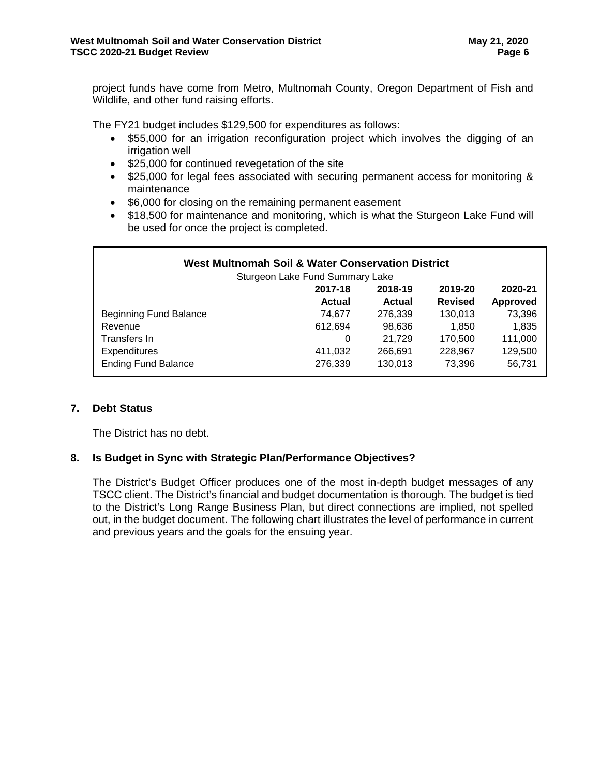project funds have come from Metro, Multnomah County, Oregon Department of Fish and Wildlife, and other fund raising efforts.

The FY21 budget includes \$129,500 for expenditures as follows:

- \$55,000 for an irrigation reconfiguration project which involves the digging of an irrigation well
- \$25,000 for continued revegetation of the site
- \$25,000 for legal fees associated with securing permanent access for monitoring & maintenance
- \$6,000 for closing on the remaining permanent easement
- \$18,500 for maintenance and monitoring, which is what the Sturgeon Lake Fund will be used for once the project is completed.

| West Multnomah Soil & Water Conservation District |         |         |                |                 |  |  |  |
|---------------------------------------------------|---------|---------|----------------|-----------------|--|--|--|
| Sturgeon Lake Fund Summary Lake                   |         |         |                |                 |  |  |  |
|                                                   | 2017-18 | 2018-19 | 2019-20        | 2020-21         |  |  |  |
|                                                   | Actual  | Actual  | <b>Revised</b> | <b>Approved</b> |  |  |  |
| <b>Beginning Fund Balance</b>                     | 74,677  | 276,339 | 130,013        | 73,396          |  |  |  |
| Revenue                                           | 612,694 | 98,636  | 1.850          | 1,835           |  |  |  |
| Transfers In                                      | 0       | 21.729  | 170,500        | 111,000         |  |  |  |
| Expenditures                                      | 411,032 | 266,691 | 228,967        | 129,500         |  |  |  |
| <b>Ending Fund Balance</b>                        | 276,339 | 130,013 | 73,396         | 56,731          |  |  |  |

#### **7. Debt Status**

The District has no debt.

#### **8. Is Budget in Sync with Strategic Plan/Performance Objectives?**

The District's Budget Officer produces one of the most in-depth budget messages of any TSCC client. The District's financial and budget documentation is thorough. The budget is tied to the District's Long Range Business Plan, but direct connections are implied, not spelled out, in the budget document. The following chart illustrates the level of performance in current and previous years and the goals for the ensuing year.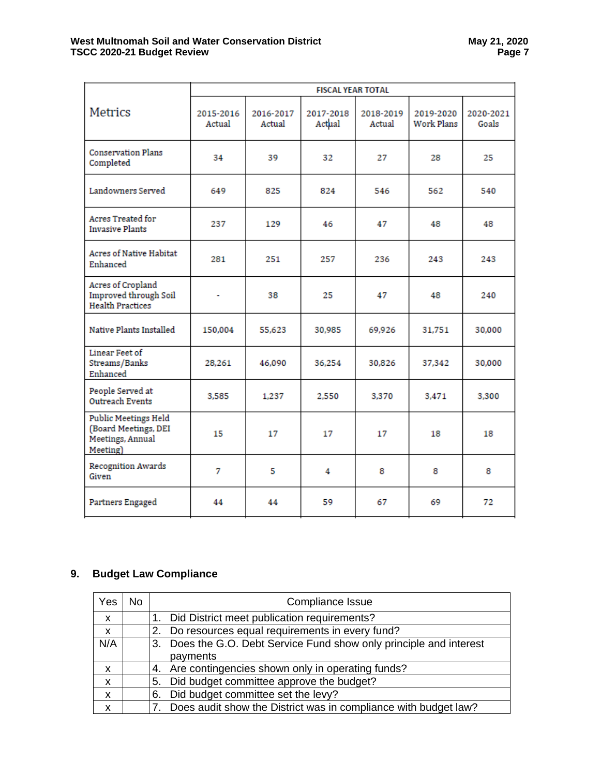|                                                                              | <b>FISCAL YEAR TOTAL</b> |                     |                     |                     |                                |                    |
|------------------------------------------------------------------------------|--------------------------|---------------------|---------------------|---------------------|--------------------------------|--------------------|
| <b>Metrics</b>                                                               | 2015-2016<br>Actual      | 2016-2017<br>Actual | 2017-2018<br>Actual | 2018-2019<br>Actual | 2019-2020<br><b>Work Plans</b> | 2020-2021<br>Goals |
| <b>Conservation Plans</b><br>Completed                                       | 34                       | 39                  | 32                  | 27                  | 28                             | 25                 |
| Landowners Served                                                            | 649                      | 825                 | 824                 | 546                 | 562                            | 540                |
| Acres Treated for<br><b>Invasive Plants</b>                                  | 237                      | 129                 | 46                  | 47                  | 48                             | 48                 |
| Acres of Native Habitat<br>Enhanced                                          | 281                      | 251                 | 257                 | 236                 | 243                            | 243                |
| Acres of Cropland<br>Improved through Soil<br><b>Health Practices</b>        | ÷,                       | 38                  | 25                  | 47                  | 48                             | 240                |
| Native Plants Installed                                                      | 150.004                  | 55.623              | 30,985              | 69.926              | 31.751                         | 30.000             |
| Linear Feet of<br>Streams/Banks<br>Enhanced                                  | 28,261                   | 46,090              | 36,254              | 30,826              | 37,342                         | 30,000             |
| People Served at<br>Outreach Events                                          | 3.585                    | 1,237               | 2.550               | 3.370               | 3.471                          | 3.300              |
| Public Meetings Held<br>(Board Meetings, DEI<br>Meetings, Annual<br>Meeting) | 15                       | 17                  | 17                  | 17                  | 18                             | 18                 |
| Recognition Awards<br>Given                                                  | 7                        | 5                   | 4                   | 8                   | 8                              | 8                  |
| Partners Engaged                                                             | 44                       | 44                  | 59                  | 67                  | 69                             | 72                 |

## **9. Budget Law Compliance**

| Yes                       | No | Compliance Issue                                                    |
|---------------------------|----|---------------------------------------------------------------------|
| $\mathsf{x}$              |    | 1. Did District meet publication requirements?                      |
| $\boldsymbol{\mathsf{x}}$ |    | 2. Do resources equal requirements in every fund?                   |
| N/A                       |    | 3. Does the G.O. Debt Service Fund show only principle and interest |
|                           |    | payments                                                            |
| $\boldsymbol{\mathsf{x}}$ |    | 4. Are contingencies shown only in operating funds?                 |
| $\boldsymbol{\mathsf{x}}$ |    | 5. Did budget committee approve the budget?                         |
| $\boldsymbol{\mathsf{x}}$ |    | 6. Did budget committee set the levy?                               |
| X                         |    | 7. Does audit show the District was in compliance with budget law?  |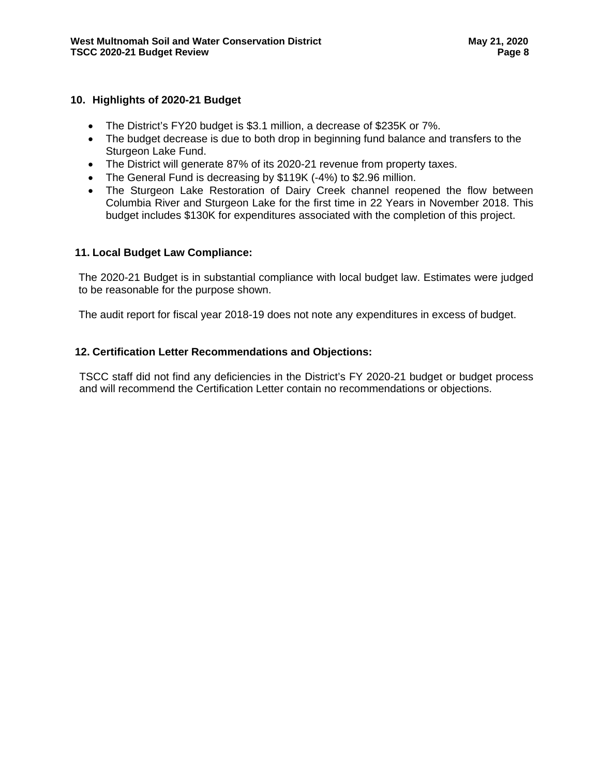## **10. Highlights of 2020-21 Budget**

- The District's FY20 budget is \$3.1 million, a decrease of \$235K or 7%.
- The budget decrease is due to both drop in beginning fund balance and transfers to the Sturgeon Lake Fund.
- The District will generate 87% of its 2020-21 revenue from property taxes.
- The General Fund is decreasing by \$119K (-4%) to \$2.96 million.
- The Sturgeon Lake Restoration of Dairy Creek channel reopened the flow between Columbia River and Sturgeon Lake for the first time in 22 Years in November 2018. This budget includes \$130K for expenditures associated with the completion of this project.

#### **11. Local Budget Law Compliance:**

The 2020-21 Budget is in substantial compliance with local budget law. Estimates were judged to be reasonable for the purpose shown.

The audit report for fiscal year 2018-19 does not note any expenditures in excess of budget.

#### **12. Certification Letter Recommendations and Objections:**

TSCC staff did not find any deficiencies in the District's FY 2020-21 budget or budget process and will recommend the Certification Letter contain no recommendations or objections.